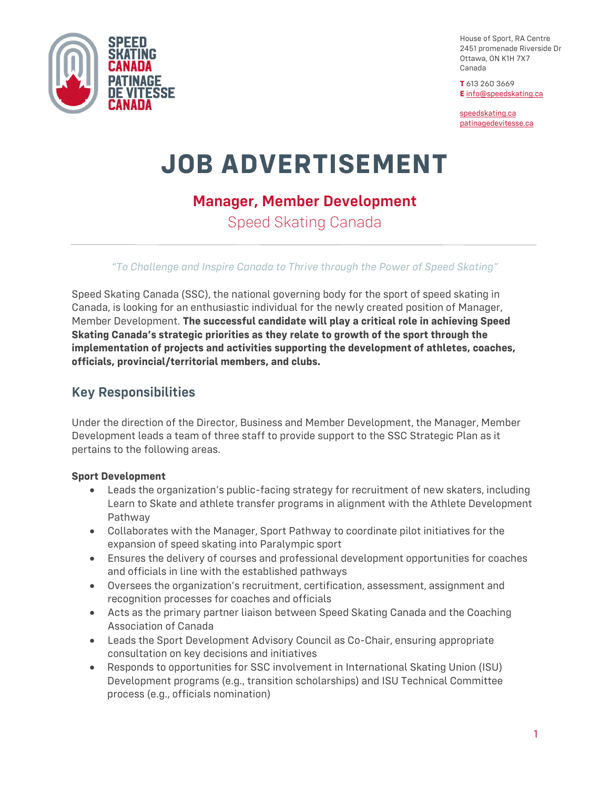

House of Sport, RA Centre 2451 promenade Riverside Dr Ottawa, ON K1H 7X7 Canada

**T** 613 260 3669 **E** [info@speedskating.ca](mailto:info@speedskating.ca)

[speedskating.ca](https://www.speedskating.ca/) [patinagedevitesse.ca](https://www.speedskating.ca/fr)

# **JOB ADVERTISEMENT**

## **Manager, Member Development**

Speed Skating Canada

#### *"To Challenge and Inspire Canada to Thrive through the Power of Speed Skating"*

Speed Skating Canada (SSC), the national governing body for the sport of speed skating in Canada, is looking for an enthusiastic individual for the newly created position of Manager, Member Development. **The successful candidate will play a critical role in achieving Speed Skating Canada's strategic priorities as they relate to growth of the sport through the implementation of projects and activities supporting the development of athletes, coaches, officials, provincial/territorial members, and clubs.**

## **Key Responsibilities**

Under the direction of the Director, Business and Member Development, the Manager, Member Development leads a team of three staff to provide support to the SSC Strategic Plan as it pertains to the following areas.

#### **Sport Development**

- Leads the organization's public-facing strategy for recruitment of new skaters, including Learn to Skate and athlete transfer programs in alignment with the Athlete Development Pathway
- Collaborates with the Manager, Sport Pathway to coordinate pilot initiatives for the expansion of speed skating into Paralympic sport
- Ensures the delivery of courses and professional development opportunities for coaches and officials in line with the established pathways
- Oversees the organization's recruitment, certification, assessment, assignment and recognition processes for coaches and officials
- Acts as the primary partner liaison between Speed Skating Canada and the Coaching Association of Canada
- Leads the Sport Development Advisory Council as Co-Chair, ensuring appropriate consultation on key decisions and initiatives
- Responds to opportunities for SSC involvement in International Skating Union (ISU) Development programs (e.g., transition scholarships) and ISU Technical Committee process (e.g., officials nomination)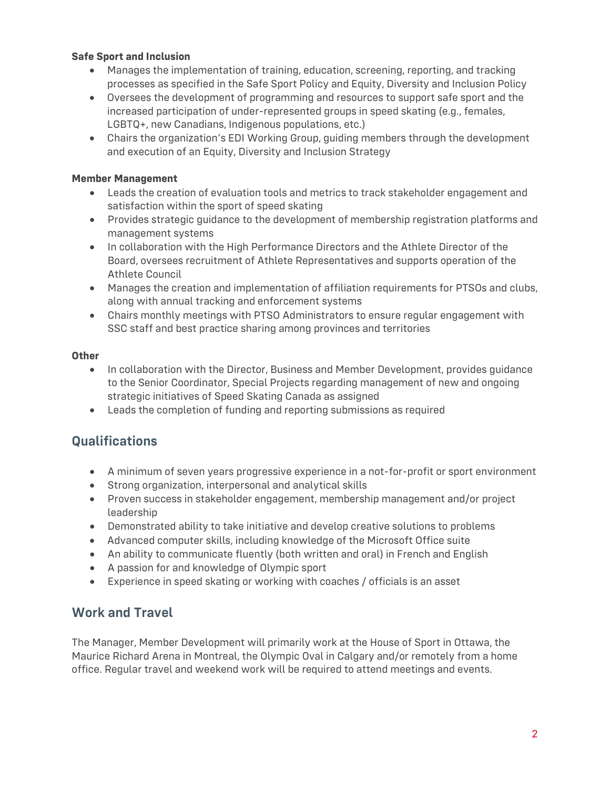#### **Safe Sport and Inclusion**

- Manages the implementation of training, education, screening, reporting, and tracking processes as specified in the Safe Sport Policy and Equity, Diversity and Inclusion Policy
- Oversees the development of programming and resources to support safe sport and the increased participation of under-represented groups in speed skating (e.g., females, LGBTQ+, new Canadians, Indigenous populations, etc.)
- Chairs the organization's EDI Working Group, guiding members through the development and execution of an Equity, Diversity and Inclusion Strategy

#### **Member Management**

- Leads the creation of evaluation tools and metrics to track stakeholder engagement and satisfaction within the sport of speed skating
- Provides strategic guidance to the development of membership registration platforms and management systems
- In collaboration with the High Performance Directors and the Athlete Director of the Board, oversees recruitment of Athlete Representatives and supports operation of the Athlete Council
- Manages the creation and implementation of affiliation requirements for PTSOs and clubs, along with annual tracking and enforcement systems
- Chairs monthly meetings with PTSO Administrators to ensure regular engagement with SSC staff and best practice sharing among provinces and territories

#### **Other**

- In collaboration with the Director, Business and Member Development, provides guidance to the Senior Coordinator, Special Projects regarding management of new and ongoing strategic initiatives of Speed Skating Canada as assigned
- Leads the completion of funding and reporting submissions as required

## **Qualifications**

- A minimum of seven years progressive experience in a not-for-profit or sport environment
- Strong organization, interpersonal and analytical skills
- Proven success in stakeholder engagement, membership management and/or project leadership
- Demonstrated ability to take initiative and develop creative solutions to problems
- Advanced computer skills, including knowledge of the Microsoft Office suite
- An ability to communicate fluently (both written and oral) in French and English
- A passion for and knowledge of Olympic sport
- Experience in speed skating or working with coaches / officials is an asset

## **Work and Travel**

The Manager, Member Development will primarily work at the House of Sport in Ottawa, the Maurice Richard Arena in Montreal, the Olympic Oval in Calgary and/or remotely from a home office. Regular travel and weekend work will be required to attend meetings and events.